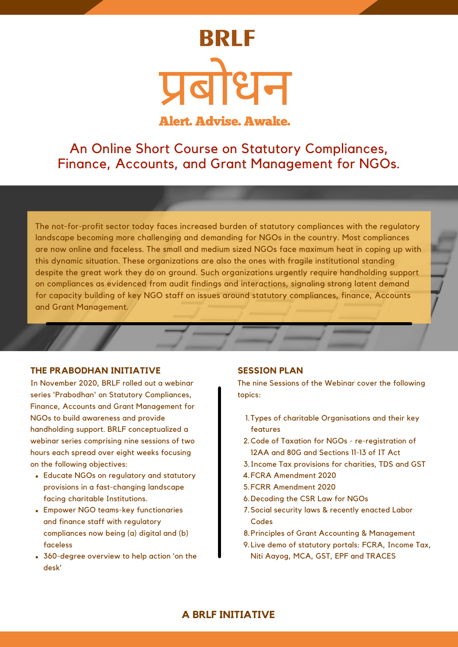# **BRLF** प्रबो धन

Alert. Advise. Awake.

An Online Short Course on Statutory Compliances, Finance, Accounts, and Grant Management for NGOs.

The not-for-profit sector today faces increased burden of statutory compliances with the regulatory landscape becoming more challenging and demanding for NGOs in the country. Most compliances are now online and faceless. The small and medium sized NGOs face maximum heat in coping up with this dynamic situation. These organizations are also the ones with fragile institutional standing despite the great work they do on ground. Such organizations urgently require handholding support on compliances as evidenced from audit findings and interactions, signaling strong latent demand for capacity building of key NGO staff on issues around statutory compliances, finance, Accounts and Grant Management.

#### **THE PRABODHAN INITIATIVE**

In November 2020, BRLF rolled out a webinar series 'Prabodhan' on Statutory Compliances, Finance, Accounts and Grant Management for NGOs to build awareness and provide handholding support. BRLF conceptualized a webinar series comprising nine sessions of two hours each spread over eight weeks focusing on the following objectives:

- Educate NGOs on regulatory and statutory provisions in a fast-changing landscape facing charitable Institutions.
- Empower NGO teams-key functionaries and finance staff with regulatory compliances now being (a) digital and (b) faceless
- 360-degree overview to help action 'on the desk'

#### **SESSION PLAN**

The nine Sessions of the Webinar cover the following topics:

- 1. Types of charitable Organisations and their key features
- 2. Code of Taxation for NGOs re-registration of 12AA and 80G and Sections 11-13 of IT Act
- 3. Income Tax provisions for charities, TDS and GST
- FCRA Amendment 2020 4.
- FCRR Amendment 2020 5.
- 6. Decoding the CSR Law for NGOs
- 7. Social security laws & recently enacted Labor Codes
- 8. Principles of Grant Accounting & Management
- 9. Live demo of statutory portals: FCRA, Income Tax, Niti Aayog, MCA, GST, EPF and TRACES

## **A BRLF INITIATIVE**